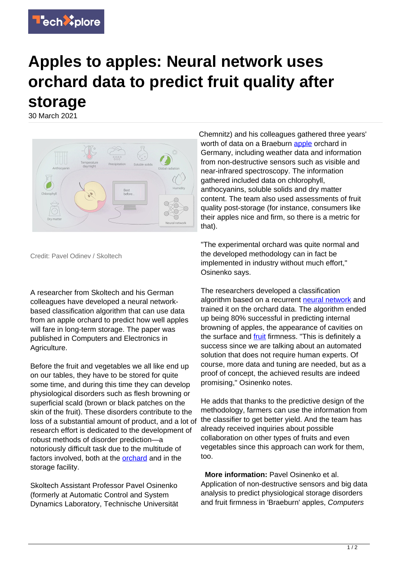

## **Apples to apples: Neural network uses orchard data to predict fruit quality after storage**

30 March 2021



Credit: Pavel Odinev / Skoltech

A researcher from Skoltech and his German colleagues have developed a neural networkbased classification algorithm that can use data from an apple orchard to predict how well apples will fare in long-term storage. The paper was published in Computers and Electronics in Agriculture.

Before the fruit and vegetables we all like end up on our tables, they have to be stored for quite some time, and during this time they can develop physiological disorders such as flesh browning or superficial scald (brown or black patches on the skin of the fruit). These disorders contribute to the loss of a substantial amount of product, and a lot of research effort is dedicated to the development of robust methods of disorder prediction—a notoriously difficult task due to the multitude of factors involved, both at the [orchard](https://techxplore.com/tags/orchard/) and in the storage facility.

Skoltech Assistant Professor Pavel Osinenko (formerly at Automatic Control and System Dynamics Laboratory, Technische Universität Chemnitz) and his colleagues gathered three years' worth of data on a Braeburn [apple](https://techxplore.com/tags/apple/) orchard in Germany, including weather data and information from non-destructive sensors such as visible and near-infrared spectroscopy. The information gathered included data on chlorophyll, anthocyanins, soluble solids and dry matter content. The team also used assessments of fruit quality post-storage (for instance, consumers like their apples nice and firm, so there is a metric for that).

"The experimental orchard was quite normal and the developed methodology can in fact be implemented in industry without much effort," Osinenko says.

The researchers developed a classification algorithm based on a recurrent [neural network](https://techxplore.com/tags/neural+network/) and trained it on the orchard data. The algorithm ended up being 80% successful in predicting internal browning of apples, the appearance of cavities on the surface and [fruit](https://techxplore.com/tags/fruit/) firmness. "This is definitely a success since we are talking about an automated solution that does not require human experts. Of course, more data and tuning are needed, but as a proof of concept, the achieved results are indeed promising," Osinenko notes.

He adds that thanks to the predictive design of the methodology, farmers can use the information from the classifier to get better yield. And the team has already received inquiries about possible collaboration on other types of fruits and even vegetables since this approach can work for them, too.

 **More information:** Pavel Osinenko et al. Application of non-destructive sensors and big data analysis to predict physiological storage disorders and fruit firmness in 'Braeburn' apples, Computers